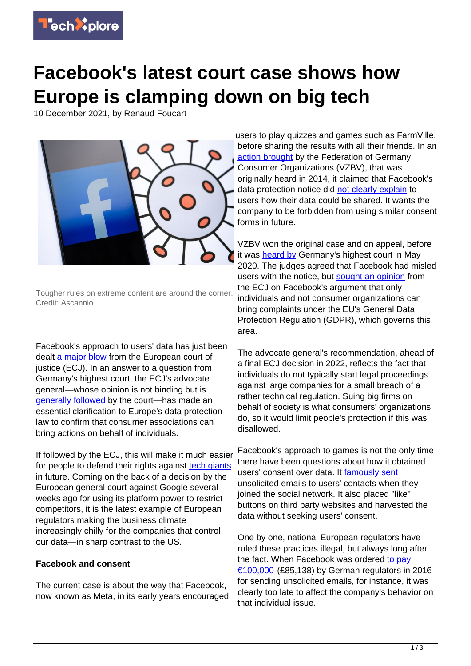

## **Facebook's latest court case shows how Europe is clamping down on big tech**

10 December 2021, by Renaud Foucart



Tougher rules on extreme content are around the corner. Credit: Ascannio

Facebook's approach to users' data has just been dealt [a major blow](https://curia.europa.eu/jcms/jcms/p1_3584224/en/) from the European court of justice (ECJ). In an answer to a question from Germany's highest court, the ECJ's advocate general—whose opinion is not binding but is [generally followed](https://www.elgaronline.com/view/journals/cilj/5-1/cilj.2016.01.05.xml) by the court—has made an essential clarification to Europe's data protection law to confirm that consumer associations can bring actions on behalf of individuals.

If followed by the ECJ, this will make it much easier for people to defend their rights against [tech giants](https://techxplore.com/tags/tech+giants/) in future. Coming on the back of a decision by the European general court against Google several weeks ago for using its platform power to restrict competitors, it is the latest example of European regulators making the business climate increasingly chilly for the companies that control our data—in sharp contrast to the US.

## **Facebook and consent**

The current case is about the way that Facebook, now known as Meta, in its early years encouraged

users to play quizzes and games such as FarmVille, before sharing the results with all their friends. In an [action brought](https://www.taylorwessing.com/en/insights-and-events/insights/2020/05/bgh-legt-in-sachen-vzbv-gegen-facebook) by the Federation of Germany Consumer Organizations (VZBV), that was originally heard in 2014, it claimed that Facebook's data protection notice did [not clearly explain](https://www.reuters.com/article/us-facebook-germany-idUSKBN2341BZ) to users how their data could be shared. It wants the company to be forbidden from using similar consent forms in future.

VZBV won the original case and on appeal, before it was [heard by](https://curia.europa.eu/juris/showPdf.jsf?text=&docid=230961&pageIndex=0&doclang=EN&mode=req&dir=&occ=first&part=1&cid=248605) Germany's highest court in May 2020. The judges agreed that Facebook had misled users with the notice, but [sought an opinion](https://curia.europa.eu/juris/showPdf.jsf?text=&docid=230961&pageIndex=0&doclang=EN&mode=req&dir=&occ=first&part=1&cid=2486053) from the ECJ on Facebook's argument that only individuals and not consumer organizations can bring complaints under the EU's General Data Protection Regulation (GDPR), which governs this area.

The advocate general's recommendation, ahead of a final ECJ decision in 2022, reflects the fact that individuals do not typically start legal proceedings against large companies for a small breach of a rather technical regulation. Suing big firms on behalf of society is what consumers' organizations do, so it would limit people's protection if this was disallowed.

Facebook's approach to games is not the only time there have been questions about how it obtained users' consent over data. It [famously sent](https://www.vzbv.de/urteile/ordnungsgeld-facebook-muss-100000-euro-zahlen) unsolicited emails to users' contacts when they joined the social network. It also placed "like" buttons on third party websites and harvested the data without seeking users' consent.

One by one, national European regulators have ruled these practices illegal, but always long after the fact. When Facebook was ordered [to pay](https://www.vzbv.de/urteile/ordnungsgeld-facebook-muss-100000-euro-zahlen) [€100,000](https://www.vzbv.de/urteile/ordnungsgeld-facebook-muss-100000-euro-zahlen) (£85,138) by German regulators in 2016 for sending unsolicited emails, for instance, it was clearly too late to affect the company's behavior on that individual issue.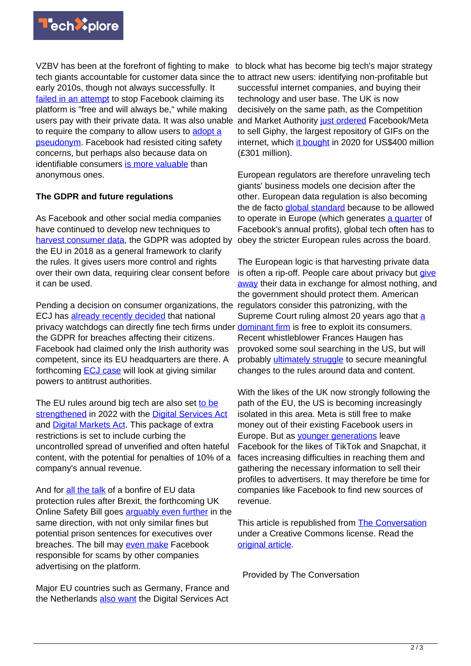

VZBV has been at the forefront of fighting to make to block what has become big tech's major strategy tech giants accountable for customer data since the to attract new users: identifying non-profitable but early 2010s, though not always successfully. It [failed in an attempt](https://www.cbsnews.com/news/germany-facebook-court-case-privacy-settings-terms-of-use-brought-vzbz/) to stop Facebook claiming its platform is "free and will always be," while making users pay with their private data. It was also unable to require the company to allow users to [adopt a](https://edition.cnn.com/2014/09/16/living/facebook-name-policy/) [pseudonym](https://edition.cnn.com/2014/09/16/living/facebook-name-policy/). Facebook had resisted citing safety concerns, but perhaps also because data on identifiable consumers [is more valuable](https://www.theguardian.com/technology/2012/aug/02/facebook-share-price-slumps-20-dollars) than anonymous ones.

## **The GDPR and future regulations**

As Facebook and other social media companies have continued to develop new techniques to [harvest consumer data](https://www.reuters.com/article/us-facebook-privacy-tracking-idUSKBN1HM0DR), the GDPR was adopted by the EU in 2018 as a general framework to clarify the rules. It gives users more control and rights over their own data, requiring clear consent before it can be used.

Pending a decision on consumer organizations, the regulators consider this patronizing, with the ECJ has [already recently decided](https://curia.europa.eu/jcms/upload/docs/application/pdf/2021-06/cp210103en.pdf) that national privacy watchdogs can directly fine tech firms under **[dominant firm](https://supreme.justia.com/cases/federal/us/540/02-682/)** is free to exploit its consumers. the GDPR for breaches affecting their citizens. Facebook had claimed only the Irish authority was competent, since its EU headquarters are there. A forthcoming [ECJ case](https://www.internetjustsociety.org/one-way-ticket-to-luxembourg-facebook-v-bundeskartellamt-at-the-ecj) will look at giving similar powers to antitrust authorities.

The EU rules around big tech are also set [to be](https://www.politico.eu/article/europe-digital-markets-act-dma-digital-services-act-dsa-regulation-platforms-google-amazon-facebook-apple-microsoft/) [strengthened](https://www.politico.eu/article/europe-digital-markets-act-dma-digital-services-act-dsa-regulation-platforms-google-amazon-facebook-apple-microsoft/) in 2022 with the [Digital Services Act](https://digital-strategy.ec.europa.eu/en/policies/digital-services-act-package) and [Digital Markets Act](https://www.euractiv.com/section/digital/news/eu-parliaments-key-committee-adopts-digital-markets-act/). This package of extra restrictions is set to include curbing the uncontrolled spread of unverified and often hateful content, with the potential for penalties of 10% of a company's annual revenue.

And for [all the talk](https://www.bbc.co.uk/news/technology-58340333) of a bonfire of EU data protection rules after Brexit, the forthcoming UK Online Safety Bill goes arquably even further in the same direction, with not only similar fines but potential prison sentences for executives over breaches. The bill may [even make](https://www.thetimes.co.uk/article/online-safety-bill-to-make-tech-giants-tackle-scams-5v3d85q9v) Facebook responsible for scams by other companies advertising on the platform.

Major EU countries such as Germany, France and the Netherlands [also want](https://www.ft.com/content/e0248106-e6d5-4b2a-aaef-b52d464dcc03) the Digital Services Act successful internet companies, and buying their technology and user base. The UK is now decisively on the same path, as the Competition and Market Authority [just ordered](https://www.ft.com/content/af93369a-56fe-4d79-ad68-42e40404291f) Facebook/Meta to sell Giphy, the largest repository of GIFs on the internet, which [it bought](https://slate.com/technology/2021/11/meta-told-to-sell-giphy-in-first-major-antitrust-move-against-facebooks-parent-company.html) in 2020 for US\$400 million (£301 million).

European regulators are therefore unraveling tech giants' business models one decision after the other. European data regulation is also becoming the de facto [global standard](https://www.cambridge.org/core/journals/american-journal-of-international-law/article/gdpr-as-global-data-protection-regulation/CB416FF11457C21B02C0D1DA7BE8E688) because to be allowed to operate in Europe (which generates [a quarter](https://www.politico.com/news/agenda/2021/11/02/facebook-europe-privacy-content-laws-518514) of Facebook's annual profits), global tech often has to obey the stricter European rules across the board.

The European logic is that harvesting private data is often a rip-off. People care about privacy but [give](https://curia.europa.eu/jcms/upload/docs/application/pdf/2021-06/cp210103en.pdf) [away](https://curia.europa.eu/jcms/upload/docs/application/pdf/2021-06/cp210103en.pdf) their data in exchange for almost nothing, and the government should protect them. American Supreme Court ruling almost 20 years ago that [a](https://supreme.justia.com/cases/federal/us/540/02-682/) Recent whistleblower Frances Haugen has provoked some soul searching in the US, but will probably [ultimately struggle](https://www.politico.com/news/agenda/2021/11/02/facebook-europe-privacy-content-laws-518514) to secure meaningful changes to the rules around data and content.

With the likes of the UK now strongly following the path of the EU, the US is becoming increasingly isolated in this area. Meta is still free to make money out of their existing Facebook users in Europe. But as *younger generations* leave Facebook for the likes of TikTok and Snapchat, it faces increasing difficulties in reaching them and gathering the necessary information to sell their profiles to advertisers. It may therefore be time for companies like Facebook to find new sources of revenue.

This article is republished from [The Conversation](https://theconversation.com) under a Creative Commons license. Read the [original article](https://theconversation.com/facebook-latest-court-case-shows-how-europe-is-clamping-down-on-big-tech-173100).

Provided by The Conversation